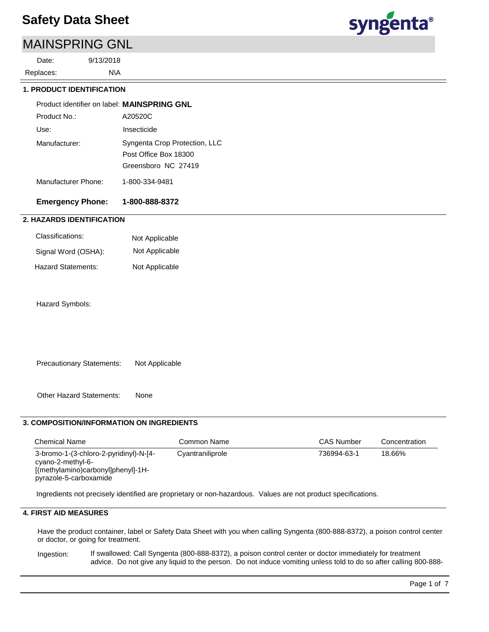## MAINSPRING GNL

9/13/2018 Replaces: Date:



## N\A  **1. PRODUCT IDENTIFICATION** A20520C Use: Insecticide Product identifier on label: **MAINSPRING GNL** Manufacturer: Syngenta Crop Protection, LLC Post Office Box 18300 Greensboro NC 27419 Manufacturer Phone: 1-800-334-9481 **Emergency Phone: 1-800-888-8372** Product No.:  **2. HAZARDS IDENTIFICATION**

| Classifications:    | Not Applicable |
|---------------------|----------------|
| Signal Word (OSHA): | Not Applicable |
| Hazard Statements:  | Not Applicable |

Hazard Symbols:

Precautionary Statements: Not Applicable

Other Hazard Statements: None

#### **3. COMPOSITION/INFORMATION ON INGREDIENTS**

| <b>Chemical Name</b>                                                                                                        | Common Name      | <b>CAS Number</b> | Concentration |
|-----------------------------------------------------------------------------------------------------------------------------|------------------|-------------------|---------------|
| 3-bromo-1-(3-chloro-2-pyridinyl)-N-[4-<br>cyano-2-methyl-6-<br>[(methylamino)carbonyl]phenyl]-1H-<br>pyrazole-5-carboxamide | Cyantraniliprole | 736994-63-1       | 18.66%        |

Ingredients not precisely identified are proprietary or non-hazardous. Values are not product specifications.

### **4. FIRST AID MEASURES**

Have the product container, label or Safety Data Sheet with you when calling Syngenta (800-888-8372), a poison control center or doctor, or going for treatment.

If swallowed: Call Syngenta (800-888-8372), a poison control center or doctor immediately for treatment advice. Do not give any liquid to the person. Do not induce vomiting unless told to do so after calling 800-888- Ingestion: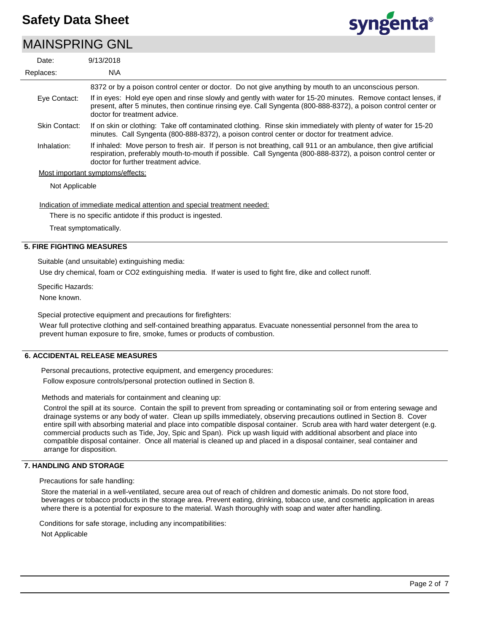### MAINSPRING GNL



| Date:          | 9/13/2018                                                                                                                                                                                                                                                                |
|----------------|--------------------------------------------------------------------------------------------------------------------------------------------------------------------------------------------------------------------------------------------------------------------------|
| Replaces:      | N\A                                                                                                                                                                                                                                                                      |
|                | 8372 or by a poison control center or doctor. Do not give anything by mouth to an unconscious person.                                                                                                                                                                    |
| Eye Contact:   | If in eyes: Hold eye open and rinse slowly and gently with water for 15-20 minutes. Remove contact lenses, if<br>present, after 5 minutes, then continue rinsing eye. Call Syngenta (800-888-8372), a poison control center or<br>doctor for treatment advice.           |
| Skin Contact:  | If on skin or clothing: Take off contaminated clothing. Rinse skin immediately with plenty of water for 15-20<br>minutes. Call Syngenta (800-888-8372), a poison control center or doctor for treatment advice.                                                          |
| Inhalation:    | If inhaled: Move person to fresh air. If person is not breathing, call 911 or an ambulance, then give artificial<br>respiration, preferably mouth-to-mouth if possible. Call Syngenta (800-888-8372), a poison control center or<br>doctor for further treatment advice. |
|                | Most important symptoms/effects:                                                                                                                                                                                                                                         |
| Not Applicable |                                                                                                                                                                                                                                                                          |

Indication of immediate medical attention and special treatment needed:

There is no specific antidote if this product is ingested.

Treat symptomatically.

### **5. FIRE FIGHTING MEASURES**

Suitable (and unsuitable) extinguishing media:

Use dry chemical, foam or CO2 extinguishing media. If water is used to fight fire, dike and collect runoff.

Specific Hazards:

None known.

Special protective equipment and precautions for firefighters:

Wear full protective clothing and self-contained breathing apparatus. Evacuate nonessential personnel from the area to prevent human exposure to fire, smoke, fumes or products of combustion.

#### **6. ACCIDENTAL RELEASE MEASURES**

Personal precautions, protective equipment, and emergency procedures:

Follow exposure controls/personal protection outlined in Section 8.

Methods and materials for containment and cleaning up:

Control the spill at its source. Contain the spill to prevent from spreading or contaminating soil or from entering sewage and drainage systems or any body of water. Clean up spills immediately, observing precautions outlined in Section 8. Cover entire spill with absorbing material and place into compatible disposal container. Scrub area with hard water detergent (e.g. commercial products such as Tide, Joy, Spic and Span). Pick up wash liquid with additional absorbent and place into compatible disposal container. Once all material is cleaned up and placed in a disposal container, seal container and arrange for disposition.

#### **7. HANDLING AND STORAGE**

Precautions for safe handling:

Store the material in a well-ventilated, secure area out of reach of children and domestic animals. Do not store food, beverages or tobacco products in the storage area. Prevent eating, drinking, tobacco use, and cosmetic application in areas where there is a potential for exposure to the material. Wash thoroughly with soap and water after handling.

Conditions for safe storage, including any incompatibilities:

Not Applicable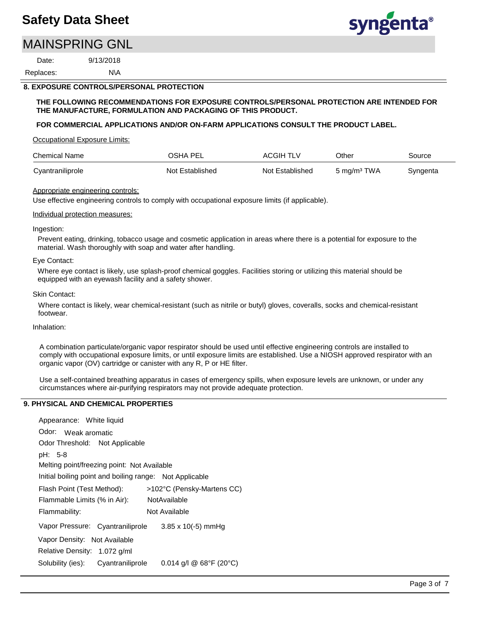## MAINSPRING GNL

9/13/2018 Replaces: Date:



### N\A  **8. EXPOSURE CONTROLS/PERSONAL PROTECTION**

#### **THE FOLLOWING RECOMMENDATIONS FOR EXPOSURE CONTROLS/PERSONAL PROTECTION ARE INTENDED FOR THE MANUFACTURE, FORMULATION AND PACKAGING OF THIS PRODUCT.**

#### **FOR COMMERCIAL APPLICATIONS AND/OR ON-FARM APPLICATIONS CONSULT THE PRODUCT LABEL.**

Occupational Exposure Limits:

| <b>Chemical Name</b> | OSHA PEL        | <b>ACGIH TLV</b> | Other                   | Source   |
|----------------------|-----------------|------------------|-------------------------|----------|
| Cyantraniliprole     | Not Established | Not Established  | 5 mg/m <sup>3</sup> TWA | Syngenta |

#### Appropriate engineering controls:

Use effective engineering controls to comply with occupational exposure limits (if applicable).

#### Individual protection measures:

#### Ingestion:

Prevent eating, drinking, tobacco usage and cosmetic application in areas where there is a potential for exposure to the material. Wash thoroughly with soap and water after handling.

#### Eye Contact:

Where eye contact is likely, use splash-proof chemical goggles. Facilities storing or utilizing this material should be equipped with an eyewash facility and a safety shower.

#### Skin Contact:

Where contact is likely, wear chemical-resistant (such as nitrile or butyl) gloves, coveralls, socks and chemical-resistant footwear.

### Inhalation:

A combination particulate/organic vapor respirator should be used until effective engineering controls are installed to comply with occupational exposure limits, or until exposure limits are established. Use a NIOSH approved respirator with an organic vapor (OV) cartridge or canister with any R, P or HE filter.

Use a self-contained breathing apparatus in cases of emergency spills, when exposure levels are unknown, or under any circumstances where air-purifying respirators may not provide adequate protection.

### **9. PHYSICAL AND CHEMICAL PROPERTIES**

| Appearance: White liquid                                |                            |
|---------------------------------------------------------|----------------------------|
| Odor: Weak aromatic                                     |                            |
| Odor Threshold: Not Applicable                          |                            |
| pH: 5-8                                                 |                            |
| Melting point/freezing point: Not Available             |                            |
| Initial boiling point and boiling range: Not Applicable |                            |
| Flash Point (Test Method):                              | >102°C (Pensky-Martens CC) |
| Flammable Limits (% in Air):                            | NotAvailable               |
| Flammability:                                           | Not Available              |
| Vapor Pressure: Cyantraniliprole                        | $3.85 \times 10(-5)$ mmHg  |
| Vapor Density: Not Available                            |                            |
| Relative Density: 1.072 g/ml                            |                            |
| Solubility (ies): Cyantraniliprole                      | $0.014$ g/l @ 68°F (20°C)  |
|                                                         |                            |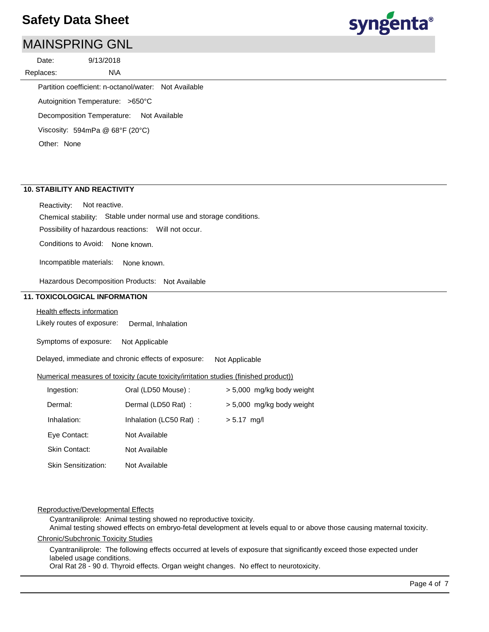## MAINSPRING GNL

9/13/2018 Replaces: Date:



Autoignition Temperature: >650°C Decomposition Temperature: Not Available Viscosity: 594mPa @ 68°F (20°C) Partition coefficient: n-octanol/water: Not Available Other: None

N\A

### **10. STABILITY AND REACTIVITY**

Chemical stability: Stable under normal use and storage conditions. Reactivity: Not reactive.

Possibility of hazardous reactions: Will not occur.

Conditions to Avoid: None known.

Incompatible materials: None known.

Hazardous Decomposition Products: Not Available

#### **11. TOXICOLOGICAL INFORMATION**

#### Health effects information

Likely routes of exposure: Dermal, Inhalation

Symptoms of exposure: Not Applicable

Delayed, immediate and chronic effects of exposure: Not Applicable

#### Numerical measures of toxicity (acute toxicity/irritation studies (finished product))

| Ingestion:                 | Oral (LD50 Mouse):     | > 5,000 mg/kg body weight |
|----------------------------|------------------------|---------------------------|
| Dermal:                    | Dermal (LD50 Rat) :    | > 5,000 mg/kg body weight |
| Inhalation:                | Inhalation (LC50 Rat): | $> 5.17$ mg/l             |
| Eye Contact:               | Not Available          |                           |
| <b>Skin Contact:</b>       | Not Available          |                           |
| <b>Skin Sensitization:</b> | Not Available          |                           |
|                            |                        |                           |

#### Reproductive/Developmental Effects

Cyantraniliprole: Animal testing showed no reproductive toxicity.

Chronic/Subchronic Toxicity Studies Animal testing showed effects on embryo-fetal development at levels equal to or above those causing maternal toxicity.

Cyantraniliprole: The following effects occurred at levels of exposure that significantly exceed those expected under labeled usage conditions.

Oral Rat 28 - 90 d. Thyroid effects. Organ weight changes. No effect to neurotoxicity.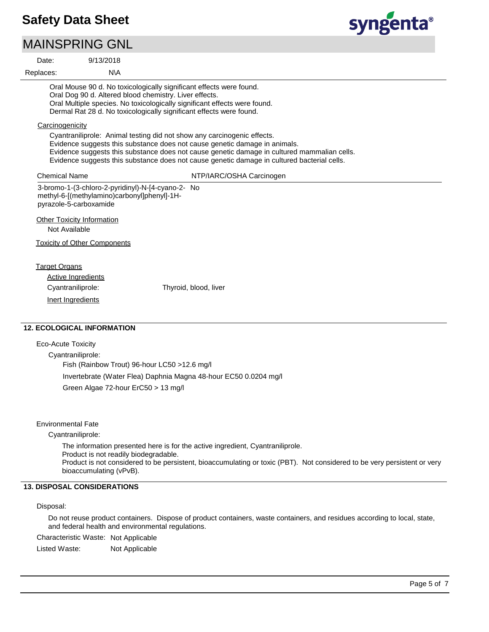### MAINSPRING GNL

| Date:                       | 9/13/2018                                                                                                                                                       |                                                                                                                                                                                                                                                                                                                                                     |
|-----------------------------|-----------------------------------------------------------------------------------------------------------------------------------------------------------------|-----------------------------------------------------------------------------------------------------------------------------------------------------------------------------------------------------------------------------------------------------------------------------------------------------------------------------------------------------|
| Replaces:                   | N\A                                                                                                                                                             |                                                                                                                                                                                                                                                                                                                                                     |
|                             | Oral Dog 90 d. Altered blood chemistry. Liver effects.                                                                                                          | Oral Mouse 90 d. No toxicologically significant effects were found.<br>Oral Multiple species. No toxicologically significant effects were found.<br>Dermal Rat 28 d. No toxicologically significant effects were found.                                                                                                                             |
| Carcinogenicity             |                                                                                                                                                                 | Cyantraniliprole: Animal testing did not show any carcinogenic effects.<br>Evidence suggests this substance does not cause genetic damage in animals.<br>Evidence suggests this substance does not cause genetic damage in cultured mammalian cells.<br>Evidence suggests this substance does not cause genetic damage in cultured bacterial cells. |
| <b>Chemical Name</b>        |                                                                                                                                                                 | NTP/IARC/OSHA Carcinogen                                                                                                                                                                                                                                                                                                                            |
| Not Available               | 3-bromo-1-(3-chloro-2-pyridinyl)-N-[4-cyano-2- No<br>methyl-6-[(methylamino)carbonyl]phenyl]-1H-<br>pyrazole-5-carboxamide<br><b>Other Toxicity Information</b> |                                                                                                                                                                                                                                                                                                                                                     |
|                             | <b>Toxicity of Other Components</b>                                                                                                                             |                                                                                                                                                                                                                                                                                                                                                     |
| <b>Target Organs</b>        | Active Ingredients<br>Cyantraniliprole:                                                                                                                         | Thyroid, blood, liver                                                                                                                                                                                                                                                                                                                               |
|                             | Inert Ingredients                                                                                                                                               |                                                                                                                                                                                                                                                                                                                                                     |
|                             | <b>12. ECOLOGICAL INFORMATION</b>                                                                                                                               |                                                                                                                                                                                                                                                                                                                                                     |
| $E_{\rm CO}$ Acuto Tovicity |                                                                                                                                                                 |                                                                                                                                                                                                                                                                                                                                                     |

Eco-Acute Toxicity

Cyantraniliprole: Fish (Rainbow Trout) 96-hour LC50 >12.6 mg/l Invertebrate (Water Flea) Daphnia Magna 48-hour EC50 0.0204 mg/l Green Algae 72-hour ErC50 > 13 mg/l

Environmental Fate

Cyantraniliprole:

The information presented here is for the active ingredient, Cyantraniliprole. Product is not readily biodegradable. Product is not considered to be persistent, bioaccumulating or toxic (PBT). Not considered to be very persistent or very bioaccumulating (vPvB).

### **13. DISPOSAL CONSIDERATIONS**

#### Disposal:

Do not reuse product containers. Dispose of product containers, waste containers, and residues according to local, state, and federal health and environmental regulations.

Characteristic Waste: Not Applicable

Listed Waste: Not Applicable

syngenta®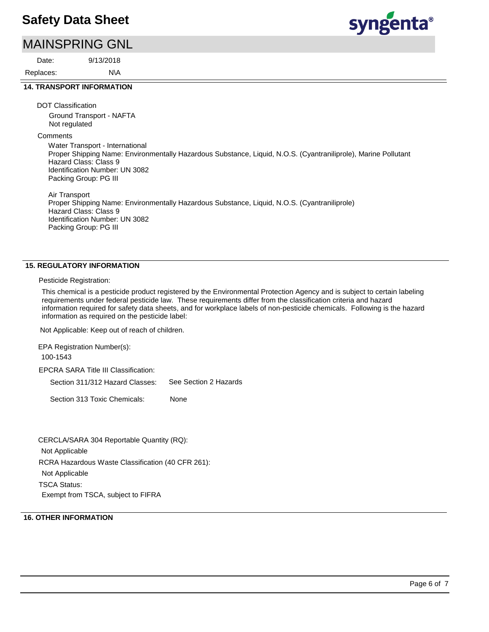## MAINSPRING GNL

N\A 9/13/2018 Replaces: Date:



### **14. TRANSPORT INFORMATION**

DOT Classification

Ground Transport - NAFTA Not regulated

**Comments** 

Water Transport - International Proper Shipping Name: Environmentally Hazardous Substance, Liquid, N.O.S. (Cyantraniliprole), Marine Pollutant Hazard Class: Class 9 Identification Number: UN 3082 Packing Group: PG III

Air Transport Proper Shipping Name: Environmentally Hazardous Substance, Liquid, N.O.S. (Cyantraniliprole) Hazard Class: Class 9 Identification Number: UN 3082 Packing Group: PG III

### **15. REGULATORY INFORMATION**

Pesticide Registration:

This chemical is a pesticide product registered by the Environmental Protection Agency and is subject to certain labeling requirements under federal pesticide law. These requirements differ from the classification criteria and hazard information required for safety data sheets, and for workplace labels of non-pesticide chemicals. Following is the hazard information as required on the pesticide label:

Not Applicable: Keep out of reach of children.

EPCRA SARA Title III Classification: Section 311/312 Hazard Classes: Section 313 Toxic Chemicals: EPA Registration Number(s): 100-1543 None See Section 2 Hazards

RCRA Hazardous Waste Classification (40 CFR 261): Not Applicable TSCA Status: Exempt from TSCA, subject to FIFRA CERCLA/SARA 304 Reportable Quantity (RQ): Not Applicable

### **16. OTHER INFORMATION**